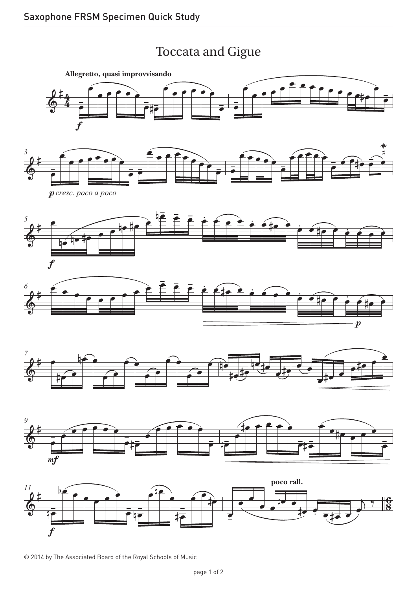## Toccata and Gigue Toccata and Gigue



© 2014 by The Associated Board of the Royal Schools of Music